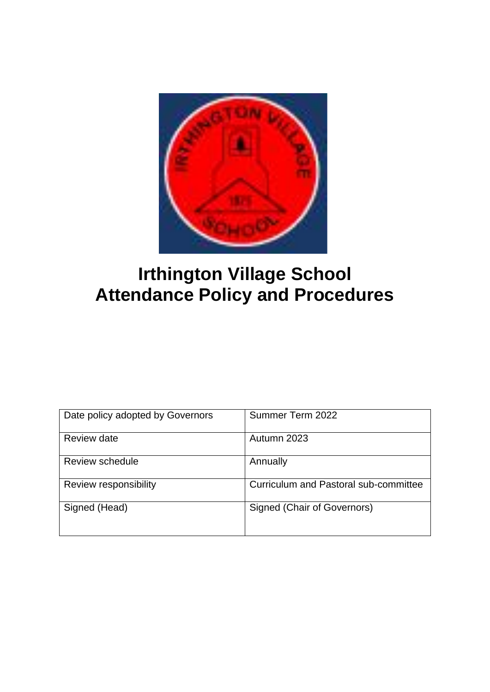

# **Irthington Village School Attendance Policy and Procedures**

| Date policy adopted by Governors | Summer Term 2022                             |
|----------------------------------|----------------------------------------------|
| Review date                      | Autumn 2023                                  |
| Review schedule                  | Annually                                     |
| Review responsibility            | <b>Curriculum and Pastoral sub-committee</b> |
| Signed (Head)                    | Signed (Chair of Governors)                  |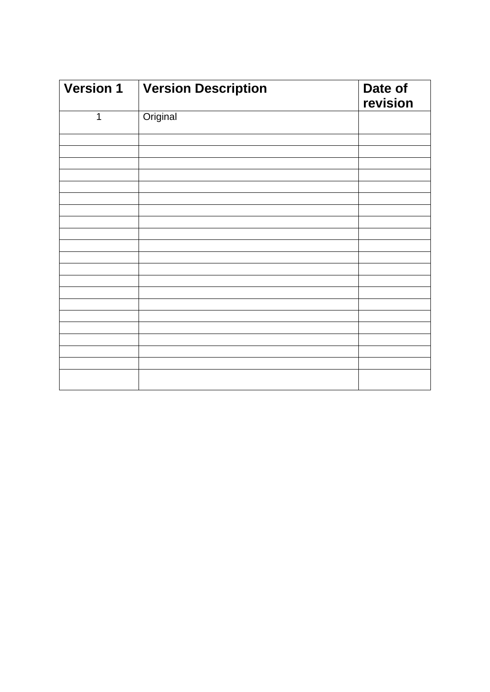| <b>Version 1</b> | <b>Version Description</b> | Date of<br>revision |
|------------------|----------------------------|---------------------|
| $\mathbf 1$      | Original                   |                     |
|                  |                            |                     |
|                  |                            |                     |
|                  |                            |                     |
|                  |                            |                     |
|                  |                            |                     |
|                  |                            |                     |
|                  |                            |                     |
|                  |                            |                     |
|                  |                            |                     |
|                  |                            |                     |
|                  |                            |                     |
|                  |                            |                     |
|                  |                            |                     |
|                  |                            |                     |
|                  |                            |                     |
|                  |                            |                     |
|                  |                            |                     |
|                  |                            |                     |
|                  |                            |                     |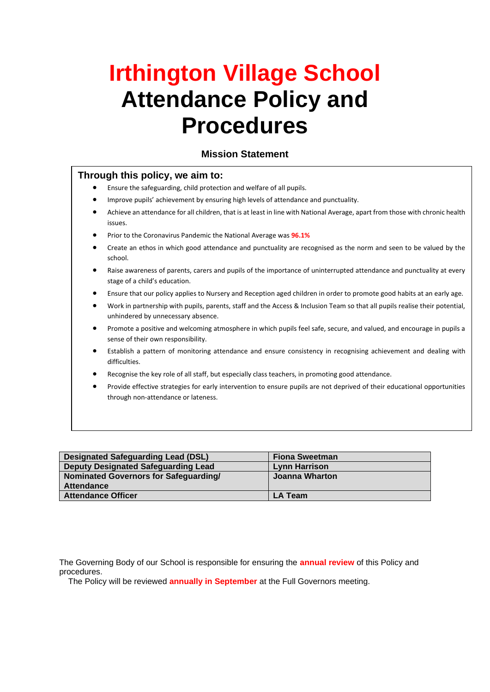# **Irthington Village School Attendance Policy and Procedures**

#### **Mission Statement**

#### **Through this policy, we aim to:**

- Ensure the safeguarding, child protection and welfare of all pupils.
- Improve pupils' achievement by ensuring high levels of attendance and punctuality.
- Achieve an attendance for all children, that is at least in line with National Average, apart from those with chronic health issues.
- Prior to the Coronavirus Pandemic the National Average was **96.1%**
- Create an ethos in which good attendance and punctuality are recognised as the norm and seen to be valued by the school.
- Raise awareness of parents, carers and pupils of the importance of uninterrupted attendance and punctuality at every stage of a child's education.
- Ensure that our policy applies to Nursery and Reception aged children in order to promote good habits at an early age.
- Work in partnership with pupils, parents, staff and the Access & Inclusion Team so that all pupils realise their potential, unhindered by unnecessary absence.
- Promote a positive and welcoming atmosphere in which pupils feel safe, secure, and valued, and encourage in pupils a sense of their own responsibility.
- Establish a pattern of monitoring attendance and ensure consistency in recognising achievement and dealing with difficulties.
- Recognise the key role of all staff, but especially class teachers, in promoting good attendance.
- Provide effective strategies for early intervention to ensure pupils are not deprived of their educational opportunities through non-attendance or lateness.

| <b>Designated Safeguarding Lead (DSL)</b>  | <b>Fiona Sweetman</b> |
|--------------------------------------------|-----------------------|
| <b>Deputy Designated Safeguarding Lead</b> | Lynn Harrison         |
| Nominated Governors for Safeguarding/      | Joanna Wharton        |
| <b>Attendance</b>                          |                       |
| <b>Attendance Officer</b>                  | <b>LA Team</b>        |

The Governing Body of our School is responsible for ensuring the **annual review** of this Policy and procedures.

The Policy will be reviewed **annually in September** at the Full Governors meeting.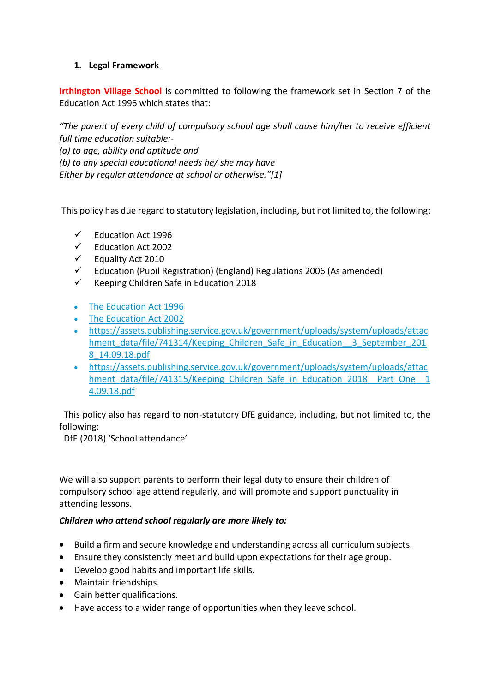#### **1. Legal Framework**

**Irthington Village School** is committed to following the framework set in Section 7 of the Education Act 1996 which states that:

*"The parent of every child of compulsory school age shall cause him/her to receive efficient full time education suitable:- (a) to age, ability and aptitude and (b) to any special educational needs he/ she may have Either by regular attendance at school or otherwise."[\[1\]](file:///T:/Policies/Policy%2016/School%20Attendance.docx)*

This policy has due regard to statutory legislation, including, but not limited to, the following:

- ✓ Education Act 1996
- ✓ Education Act 2002
- ✓ Equality Act 2010
- $\checkmark$  Education (Pupil Registration) (England) Regulations 2006 (As amended)
- ✓ Keeping Children Safe in Education 2018
- [The Education Act 1996](https://www.legislation.gov.uk/ukpga/1996/56/part/VI/chapter/II)
- [The Education Act 2002](http://www.legislation.gov.uk/ukpga/2002/32/part/3/chapter/3)
- https://assets.publishing.service.gov.uk/government/uploads/system/uploads/attac hment data/file/741314/Keeping Children Safe in Education 3 September 201 8\_14.09.18.pdf
- https://assets.publishing.service.gov.uk/government/uploads/system/uploads/attac hment\_data/file/741315/Keeping\_Children\_Safe\_in\_Education\_2018\_Part\_One\_1 4.09.18.pdf

 This policy also has regard to non-statutory DfE guidance, including, but not limited to, the following:

DfE (2018) 'School attendance'

We will also support parents to perform their legal duty to ensure their children of compulsory school age attend regularly, and will promote and support punctuality in attending lessons.

#### *Children who attend school regularly are more likely to:*

- Build a firm and secure knowledge and understanding across all curriculum subjects.
- Ensure they consistently meet and build upon expectations for their age group.
- Develop good habits and important life skills.
- Maintain friendships.
- Gain better qualifications.
- Have access to a wider range of opportunities when they leave school.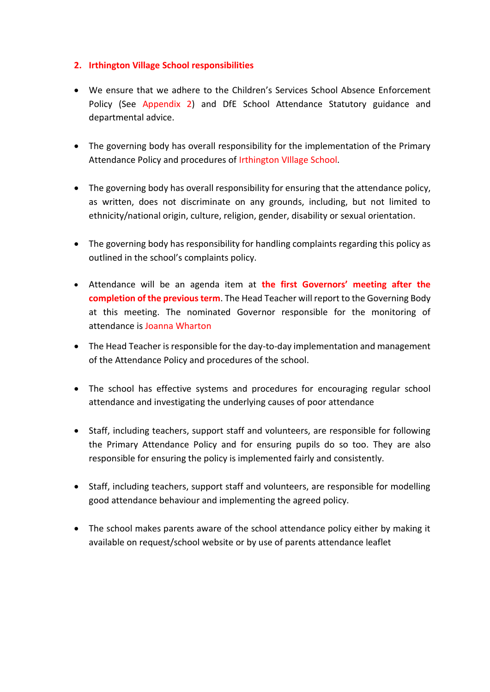#### **2. Irthington Village School responsibilities**

- We ensure that we adhere to the Children's Services School Absence Enforcement Policy (See Appendix 2) and DfE School Attendance Statutory guidance and departmental advice.
- The governing body has overall responsibility for the implementation of the Primary Attendance Policy and procedures of Irthington VIllage School.
- The governing body has overall responsibility for ensuring that the attendance policy, as written, does not discriminate on any grounds, including, but not limited to ethnicity/national origin, culture, religion, gender, disability or sexual orientation.
- The governing body has responsibility for handling complaints regarding this policy as outlined in the school's complaints policy.
- Attendance will be an agenda item at **the first Governors' meeting after the completion of the previous term**. The Head Teacher will report to the Governing Body at this meeting. The nominated Governor responsible for the monitoring of attendance is Joanna Wharton
- The Head Teacher is responsible for the day-to-day implementation and management of the Attendance Policy and procedures of the school.
- The school has effective systems and procedures for encouraging regular school attendance and investigating the underlying causes of poor attendance
- Staff, including teachers, support staff and volunteers, are responsible for following the Primary Attendance Policy and for ensuring pupils do so too. They are also responsible for ensuring the policy is implemented fairly and consistently.
- Staff, including teachers, support staff and volunteers, are responsible for modelling good attendance behaviour and implementing the agreed policy.
- The school makes parents aware of the school attendance policy either by making it available on request/school website or by use of parents attendance leaflet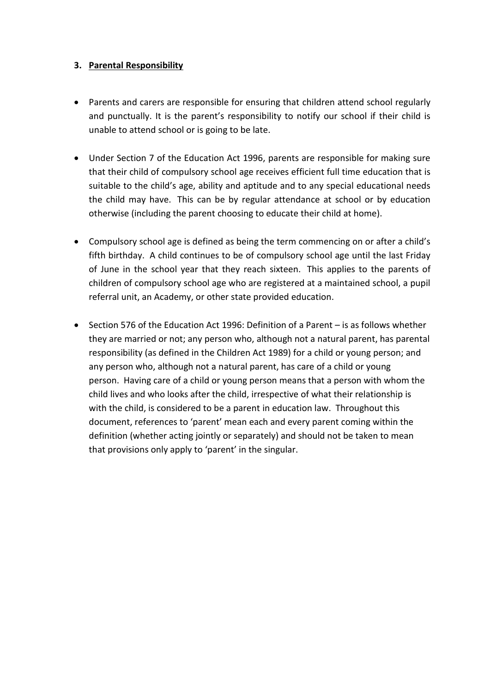#### **3. Parental Responsibility**

- Parents and carers are responsible for ensuring that children attend school regularly and punctually. It is the parent's responsibility to notify our school if their child is unable to attend school or is going to be late.
- Under Section 7 of the Education Act 1996, parents are responsible for making sure that their child of compulsory school age receives efficient full time education that is suitable to the child's age, ability and aptitude and to any special educational needs the child may have. This can be by regular attendance at school or by education otherwise (including the parent choosing to educate their child at home).
- Compulsory school age is defined as being the term commencing on or after a child's fifth birthday. A child continues to be of compulsory school age until the last Friday of June in the school year that they reach sixteen. This applies to the parents of children of compulsory school age who are registered at a maintained school, a pupil referral unit, an Academy, or other state provided education.
- Section 576 of the Education Act 1996: Definition of a Parent is as follows whether they are married or not; any person who, although not a natural parent, has parental responsibility (as defined in the Children Act 1989) for a child or young person; and any person who, although not a natural parent, has care of a child or young person. Having care of a child or young person means that a person with whom the child lives and who looks after the child, irrespective of what their relationship is with the child, is considered to be a parent in education law. Throughout this document, references to 'parent' mean each and every parent coming within the definition (whether acting jointly or separately) and should not be taken to mean that provisions only apply to 'parent' in the singular.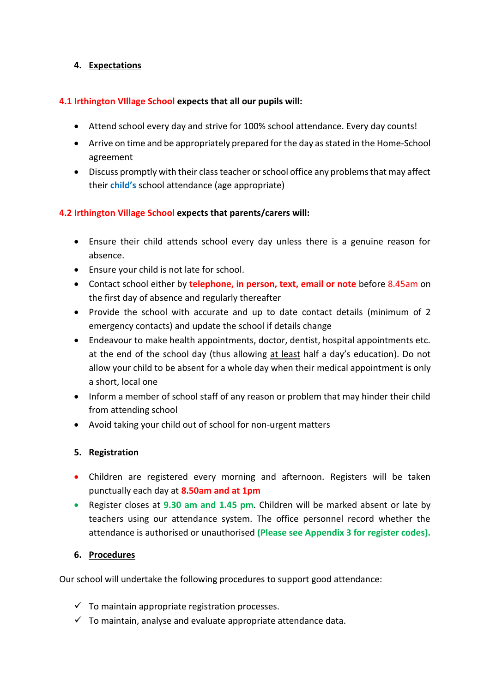#### **4. Expectations**

#### **4.1 Irthington VIllage School expects that all our pupils will:**

- Attend school every day and strive for 100% school attendance. Every day counts!
- Arrive on time and be appropriately prepared for the day as stated in the Home-School agreement
- Discuss promptly with their class teacher or school office any problems that may affect their **child's** school attendance (age appropriate)

#### **4.2 Irthington Village School expects that parents/carers will:**

- Ensure their child attends school every day unless there is a genuine reason for absence.
- Ensure your child is not late for school.
- Contact school either by **telephone, in person, text, email or note** before 8.45am on the first day of absence and regularly thereafter
- Provide the school with accurate and up to date contact details (minimum of 2 emergency contacts) and update the school if details change
- Endeavour to make health appointments, doctor, dentist, hospital appointments etc. at the end of the school day (thus allowing at least half a day's education). Do not allow your child to be absent for a whole day when their medical appointment is only a short, local one
- Inform a member of school staff of any reason or problem that may hinder their child from attending school
- Avoid taking your child out of school for non-urgent matters

#### **5. Registration**

- Children are registered every morning and afternoon. Registers will be taken punctually each day at **8.50am and at 1pm**
- Register closes at **9.30 am and 1.45 pm**. Children will be marked absent or late by teachers using our attendance system. The office personnel record whether the attendance is authorised or unauthorised **(Please see Appendix 3 for register codes).**

#### **6. Procedures**

Our school will undertake the following procedures to support good attendance:

- $\checkmark$  To maintain appropriate registration processes.
- $\checkmark$  To maintain, analyse and evaluate appropriate attendance data.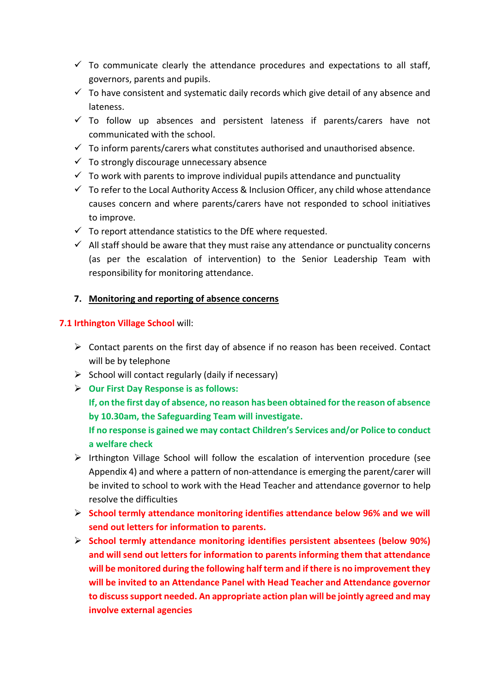- $\checkmark$  To communicate clearly the attendance procedures and expectations to all staff, governors, parents and pupils.
- $\checkmark$  To have consistent and systematic daily records which give detail of any absence and lateness.
- $\checkmark$  To follow up absences and persistent lateness if parents/carers have not communicated with the school.
- $\checkmark$  To inform parents/carers what constitutes authorised and unauthorised absence.
- $\checkmark$  To strongly discourage unnecessary absence
- $\checkmark$  To work with parents to improve individual pupils attendance and punctuality
- $\checkmark$  To refer to the Local Authority Access & Inclusion Officer, any child whose attendance causes concern and where parents/carers have not responded to school initiatives to improve.
- $\checkmark$  To report attendance statistics to the DfE where requested.
- $\checkmark$  All staff should be aware that they must raise any attendance or punctuality concerns (as per the escalation of intervention) to the Senior Leadership Team with responsibility for monitoring attendance.

#### **7. Monitoring and reporting of absence concerns**

#### **7.1 Irthington Village School** will:

- $\triangleright$  Contact parents on the first day of absence if no reason has been received. Contact will be by telephone
- $\triangleright$  School will contact regularly (daily if necessary)
- ➢ **Our First Day Response is as follows: If, on the first day of absence, no reason has been obtained for the reason of absence by 10.30am, the Safeguarding Team will investigate. If no response is gained we may contact Children's Services and/or Police to conduct a welfare check**
- ➢ Irthington Village School will follow the escalation of intervention procedure (see Appendix 4) and where a pattern of non-attendance is emerging the parent/carer will be invited to school to work with the Head Teacher and attendance governor to help resolve the difficulties
- ➢ **School termly attendance monitoring identifies attendance below 96% and we will send out letters for information to parents.**
- ➢ **School termly attendance monitoring identifies persistent absentees (below 90%) and will send out letters for information to parents informing them that attendance will be monitored during the following half term and if there is no improvement they will be invited to an Attendance Panel with Head Teacher and Attendance governor to discuss support needed. An appropriate action plan will be jointly agreed and may involve external agencies**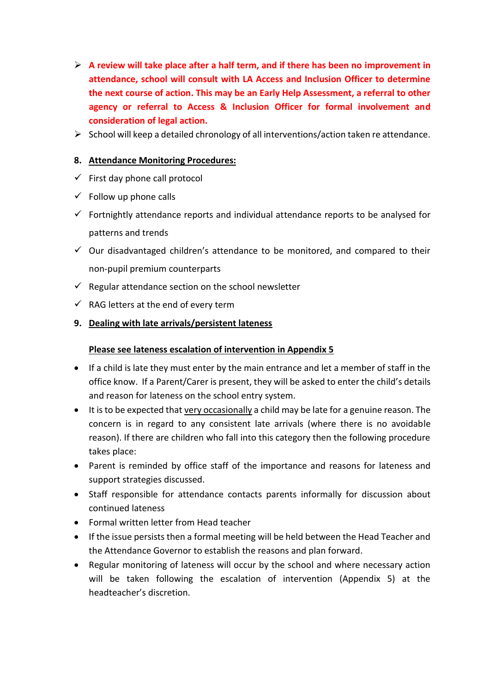- ➢ **A review will take place after a half term, and if there has been no improvement in attendance, school will consult with LA Access and Inclusion Officer to determine the next course of action. This may be an Early Help Assessment, a referral to other agency or referral to Access & Inclusion Officer for formal involvement and consideration of legal action.**
- ➢ School will keep a detailed chronology of all interventions/action taken re attendance.

#### **8. Attendance Monitoring Procedures:**

- $\checkmark$  First day phone call protocol
- $\checkmark$  Follow up phone calls
- $\checkmark$  Fortnightly attendance reports and individual attendance reports to be analysed for patterns and trends
- $\checkmark$  Our disadvantaged children's attendance to be monitored, and compared to their non-pupil premium counterparts
- $\checkmark$  Regular attendance section on the school newsletter
- $\checkmark$  RAG letters at the end of every term

#### **9. Dealing with late arrivals/persistent lateness**

#### **Please see lateness escalation of intervention in Appendix 5**

- If a child is late they must enter by the main entrance and let a member of staff in the office know. If a Parent/Carer is present, they will be asked to enter the child's details and reason for lateness on the school entry system.
- It is to be expected that very occasionally a child may be late for a genuine reason. The concern is in regard to any consistent late arrivals (where there is no avoidable reason). If there are children who fall into this category then the following procedure takes place:
- Parent is reminded by office staff of the importance and reasons for lateness and support strategies discussed.
- Staff responsible for attendance contacts parents informally for discussion about continued lateness
- Formal written letter from Head teacher
- If the issue persists then a formal meeting will be held between the Head Teacher and the Attendance Governor to establish the reasons and plan forward.
- Regular monitoring of lateness will occur by the school and where necessary action will be taken following the escalation of intervention (Appendix 5) at the headteacher's discretion.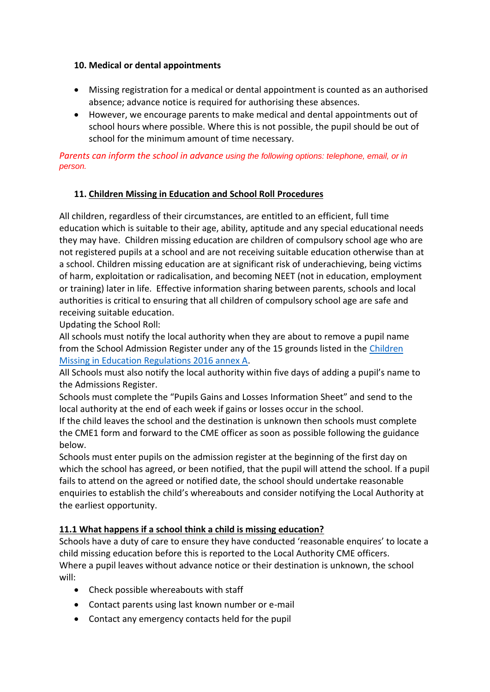#### **10. Medical or dental appointments**

- Missing registration for a medical or dental appointment is counted as an authorised absence; advance notice is required for authorising these absences.
- However, we encourage parents to make medical and dental appointments out of school hours where possible. Where this is not possible, the pupil should be out of school for the minimum amount of time necessary.

*Parents can inform the school in advance using the following options: telephone, email, or in person.*

#### **11. Children Missing in Education and School Roll Procedures**

All children, regardless of their circumstances, are entitled to an efficient, full time education which is suitable to their age, ability, aptitude and any special educational needs they may have. Children missing education are children of compulsory school age who are not registered pupils at a school and are not receiving suitable education otherwise than at a school. Children missing education are at significant risk of underachieving, being victims of harm, exploitation or radicalisation, and becoming NEET (not in education, employment or training) later in life. Effective information sharing between parents, schools and local authorities is critical to ensuring that all children of compulsory school age are safe and receiving suitable education.

Updating the School Roll:

All schools must notify the local authority when they are about to remove a pupil name from the School Admission Register under any of the 15 grounds listed in the [Children](https://www.gov.uk/government/publications/children-missing-education)  [Missing in Education Regulations 2016 annex A.](https://www.gov.uk/government/publications/children-missing-education)

All Schools must also notify the local authority within five days of adding a pupil's name to the Admissions Register.

Schools must complete the "Pupils Gains and Losses Information Sheet" and send to the local authority at the end of each week if gains or losses occur in the school.

If the child leaves the school and the destination is unknown then schools must complete the CME1 form and forward to the CME officer as soon as possible following the guidance below.

Schools must enter pupils on the admission register at the beginning of the first day on which the school has agreed, or been notified, that the pupil will attend the school. If a pupil fails to attend on the agreed or notified date, the school should undertake reasonable enquiries to establish the child's whereabouts and consider notifying the Local Authority at the earliest opportunity.

#### **11.1 What happens if a school think a child is missing education?**

Schools have a duty of care to ensure they have conducted 'reasonable enquires' to locate a child missing education before this is reported to the Local Authority CME officers. Where a pupil leaves without advance notice or their destination is unknown, the school will:

- Check possible whereabouts with staff
- Contact parents using last known number or e-mail
- Contact any emergency contacts held for the pupil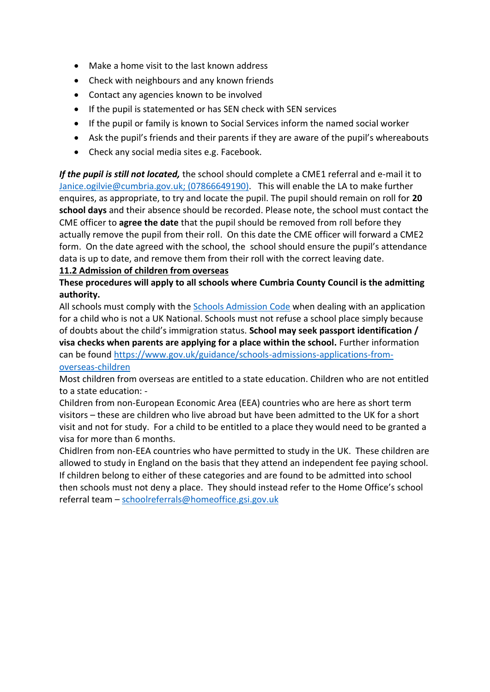- Make a home visit to the last known address
- Check with neighbours and any known friends
- Contact any agencies known to be involved
- If the pupil is statemented or has SEN check with SEN services
- If the pupil or family is known to Social Services inform the named social worker
- Ask the pupil's friends and their parents if they are aware of the pupil's whereabouts
- Check any social media sites e.g. Facebook.

*If the pupil is still not located,* the school should complete a CME1 referral and e-mail it to [Janice.ogilvie@cumbria.gov.uk;](mailto:Janice.ogilvie@cumbria.gov.uk) (07866649190). This will enable the LA to make further enquires, as appropriate, to try and locate the pupil. The pupil should remain on roll for **20 school days** and their absence should be recorded. Please note, the school must contact the CME officer to **agree the date** that the pupil should be removed from roll before they actually remove the pupil from their roll. On this date the CME officer will forward a CME2 form. On the date agreed with the school, the school should ensure the pupil's attendance data is up to date, and remove them from their roll with the correct leaving date.

#### **11.2 Admission of children from overseas**

#### **These procedures will apply to all schools where Cumbria County Council is the admitting authority.**

All schools must comply with the [Schools Admission Code](https://www.gov.uk/government/publications/school-admissions-code--2) when dealing with an application for a child who is not a UK National. Schools must not refuse a school place simply because of doubts about the child's immigration status. **School may seek passport identification / visa checks when parents are applying for a place within the school.** Further information can be found [https://www.gov.uk/guidance/schools-admissions-applications-from](https://www.gov.uk/guidance/schools-admissions-applications-from-overseas-children)[overseas-children](https://www.gov.uk/guidance/schools-admissions-applications-from-overseas-children)

Most children from overseas are entitled to a state education. Children who are not entitled to a state education: -

Children from non-European Economic Area (EEA) countries who are here as short term visitors – these are children who live abroad but have been admitted to the UK for a short visit and not for study. For a child to be entitled to a place they would need to be granted a visa for more than 6 months.

Chidlren from non-EEA countries who have permitted to study in the UK. These children are allowed to study in England on the basis that they attend an independent fee paying school. If children belong to either of these categories and are found to be admitted into school then schools must not deny a place. They should instead refer to the Home Office's school referral team – [schoolreferrals@homeoffice.gsi.gov.uk](mailto:schoolreferrals@homeoffice.gsi.gov.uk)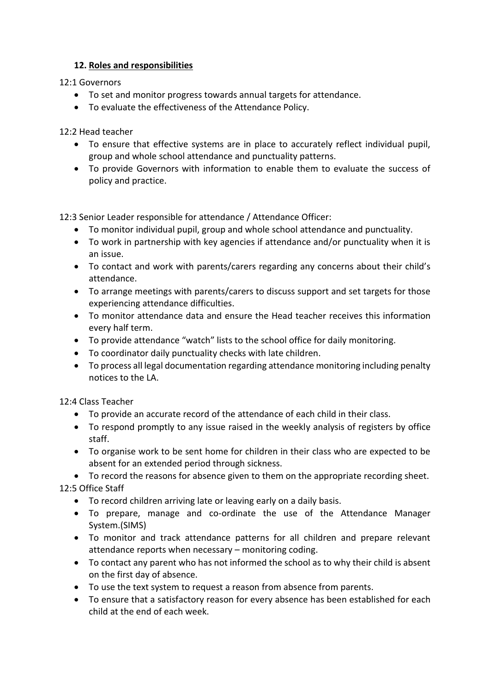#### **12. Roles and responsibilities**

12:1 Governors

- To set and monitor progress towards annual targets for attendance.
- To evaluate the effectiveness of the Attendance Policy.

12:2 Head teacher

- To ensure that effective systems are in place to accurately reflect individual pupil, group and whole school attendance and punctuality patterns.
- To provide Governors with information to enable them to evaluate the success of policy and practice.

12:3 Senior Leader responsible for attendance / Attendance Officer:

- To monitor individual pupil, group and whole school attendance and punctuality.
- To work in partnership with key agencies if attendance and/or punctuality when it is an issue.
- To contact and work with parents/carers regarding any concerns about their child's attendance.
- To arrange meetings with parents/carers to discuss support and set targets for those experiencing attendance difficulties.
- To monitor attendance data and ensure the Head teacher receives this information every half term.
- To provide attendance "watch" lists to the school office for daily monitoring.
- To coordinator daily punctuality checks with late children.
- To process all legal documentation regarding attendance monitoring including penalty notices to the LA.

12:4 Class Teacher

- To provide an accurate record of the attendance of each child in their class.
- To respond promptly to any issue raised in the weekly analysis of registers by office staff.
- To organise work to be sent home for children in their class who are expected to be absent for an extended period through sickness.

• To record the reasons for absence given to them on the appropriate recording sheet. 12:5 Office Staff

- To record children arriving late or leaving early on a daily basis.
- To prepare, manage and co-ordinate the use of the Attendance Manager System.(SIMS)
- To monitor and track attendance patterns for all children and prepare relevant attendance reports when necessary – monitoring coding.
- To contact any parent who has not informed the school as to why their child is absent on the first day of absence.
- To use the text system to request a reason from absence from parents.
- To ensure that a satisfactory reason for every absence has been established for each child at the end of each week.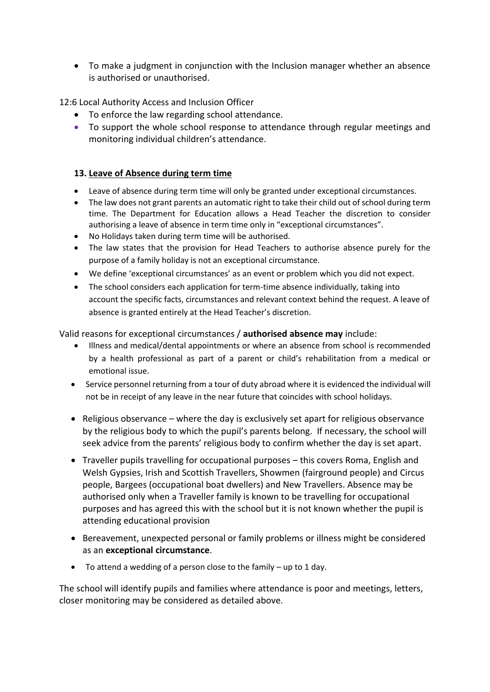• To make a judgment in conjunction with the Inclusion manager whether an absence is authorised or unauthorised.

12:6 Local Authority Access and Inclusion Officer

- To enforce the law regarding school attendance.
- To support the whole school response to attendance through regular meetings and monitoring individual children's attendance.

#### **13. Leave of Absence during term time**

- Leave of absence during term time will only be granted under exceptional circumstances.
- The law does not grant parents an automatic right to take their child out of school during term time. The Department for Education allows a Head Teacher the discretion to consider authorising a leave of absence in term time only in "exceptional circumstances".
- No Holidays taken during term time will be authorised.
- The law states that the provision for Head Teachers to authorise absence purely for the purpose of a family holiday is not an exceptional circumstance.
- We define 'exceptional circumstances' as an event or problem which you did not expect.
- The school considers each application for term-time absence individually, taking into account the specific facts, circumstances and relevant context behind the request. A leave of absence is granted entirely at the Head Teacher's discretion.

Valid reasons for exceptional circumstances / **authorised absence may** include:

- Illness and medical/dental appointments or where an absence from school is recommended by a health professional as part of a parent or child's rehabilitation from a medical or emotional issue.
- Service personnel returning from a tour of duty abroad where it is evidenced the individual will not be in receipt of any leave in the near future that coincides with school holidays.
- Religious observance where the day is exclusively set apart for religious observance by the religious body to which the pupil's parents belong. If necessary, the school will seek advice from the parents' religious body to confirm whether the day is set apart.
- Traveller pupils travelling for occupational purposes this covers Roma, English and Welsh Gypsies, Irish and Scottish Travellers, Showmen (fairground people) and Circus people, Bargees (occupational boat dwellers) and New Travellers. Absence may be authorised only when a Traveller family is known to be travelling for occupational purposes and has agreed this with the school but it is not known whether the pupil is attending educational provision
- Bereavement, unexpected personal or family problems or illness might be considered as an **exceptional circumstance**.
- To attend a wedding of a person close to the family up to 1 day.

The school will identify pupils and families where attendance is poor and meetings, letters, closer monitoring may be considered as detailed above.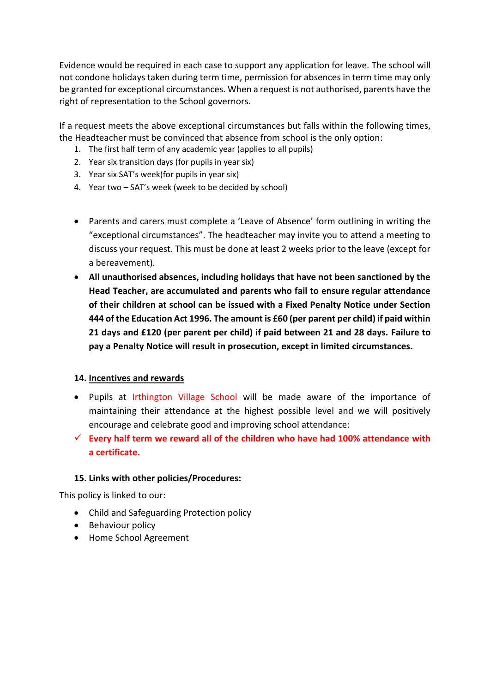Evidence would be required in each case to support any application for leave. The school will not condone holidays taken during term time, permission for absences in term time may only be granted for exceptional circumstances. When a request is not authorised, parents have the right of representation to the School governors.

If a request meets the above exceptional circumstances but falls within the following times, the Headteacher must be convinced that absence from school is the only option:

- 1. The first half term of any academic year (applies to all pupils)
- 2. Year six transition days (for pupils in year six)
- 3. Year six SAT's week(for pupils in year six)
- 4. Year two SAT's week (week to be decided by school)
- Parents and carers must complete a 'Leave of Absence' form outlining in writing the "exceptional circumstances". The headteacher may invite you to attend a meeting to discuss your request. This must be done at least 2 weeks prior to the leave (except for a bereavement).
- **All unauthorised absences, including holidays that have not been sanctioned by the Head Teacher, are accumulated and parents who fail to ensure regular attendance of their children at school can be issued with a Fixed Penalty Notice under Section 444 of the Education Act 1996. The amount is £60 (per parent per child) if paid within 21 days and £120 (per parent per child) if paid between 21 and 28 days. Failure to pay a Penalty Notice will result in prosecution, except in limited circumstances.**

#### **14. Incentives and rewards**

- Pupils at Irthington Village School will be made aware of the importance of maintaining their attendance at the highest possible level and we will positively encourage and celebrate good and improving school attendance:
- ✓ **Every half term we reward all of the children who have had 100% attendance with a certificate.**

#### **15. Links with other policies/Procedures:**

This policy is linked to our:

- Child and Safeguarding Protection policy
- Behaviour policy
- Home School Agreement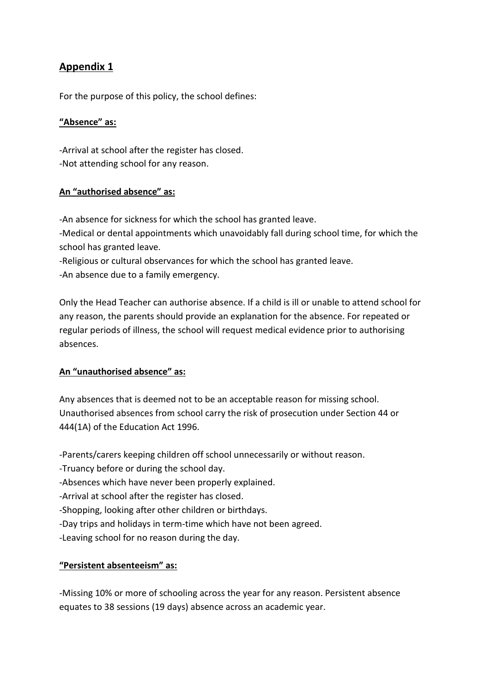### **Appendix 1**

For the purpose of this policy, the school defines:

#### **"Absence" as:**

-Arrival at school after the register has closed. -Not attending school for any reason.

#### **An "authorised absence" as:**

-An absence for sickness for which the school has granted leave. -Medical or dental appointments which unavoidably fall during school time, for which the school has granted leave.

-Religious or cultural observances for which the school has granted leave.

-An absence due to a family emergency.

Only the Head Teacher can authorise absence. If a child is ill or unable to attend school for any reason, the parents should provide an explanation for the absence. For repeated or regular periods of illness, the school will request medical evidence prior to authorising absences.

#### **An "unauthorised absence" as:**

Any absences that is deemed not to be an acceptable reason for missing school. Unauthorised absences from school carry the risk of prosecution under Section 44 or 444(1A) of the Education Act 1996.

-Parents/carers keeping children off school unnecessarily or without reason.

- -Truancy before or during the school day.
- -Absences which have never been properly explained.
- -Arrival at school after the register has closed.
- -Shopping, looking after other children or birthdays.
- -Day trips and holidays in term-time which have not been agreed.
- -Leaving school for no reason during the day.

#### **"Persistent absenteeism" as:**

-Missing 10% or more of schooling across the year for any reason. Persistent absence equates to 38 sessions (19 days) absence across an academic year.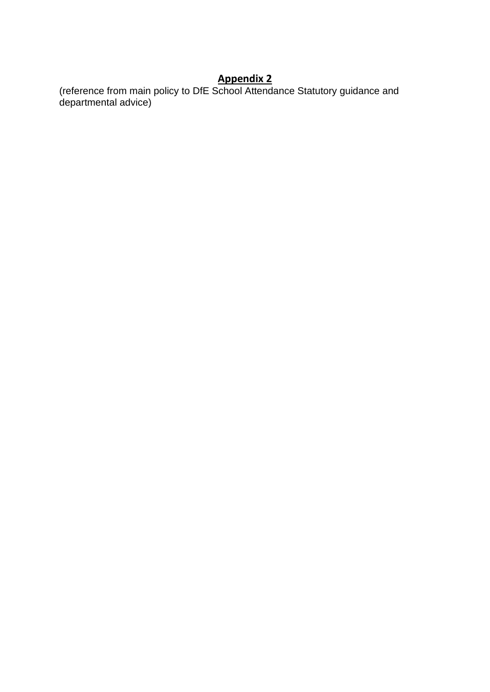## **Appendix 2**

(reference from main policy to DfE School Attendance Statutory guidance and departmental advice)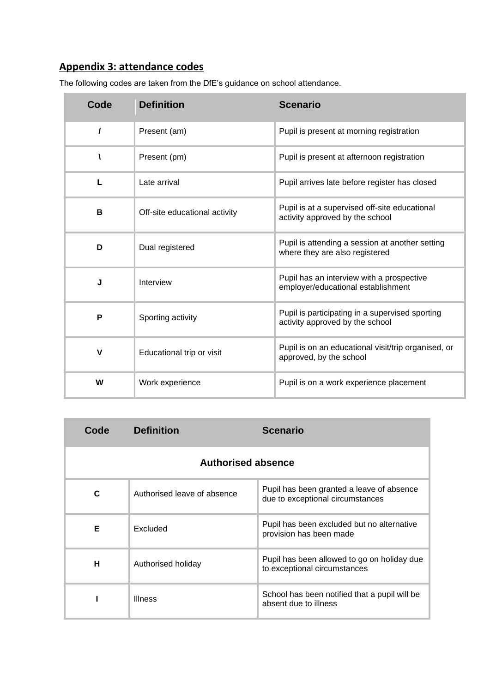# **Appendix 3: attendance codes**

The following codes are taken from the DfE's guidance on school attendance.

| Code     | <b>Definition</b>             | <b>Scenario</b>                                                                    |
|----------|-------------------------------|------------------------------------------------------------------------------------|
| $\prime$ | Present (am)                  | Pupil is present at morning registration                                           |
| A        | Present (pm)                  | Pupil is present at afternoon registration                                         |
| L        | Late arrival                  | Pupil arrives late before register has closed                                      |
| В        | Off-site educational activity | Pupil is at a supervised off-site educational<br>activity approved by the school   |
| D        | Dual registered               | Pupil is attending a session at another setting<br>where they are also registered  |
| J        | Interview                     | Pupil has an interview with a prospective<br>employer/educational establishment    |
| P        | Sporting activity             | Pupil is participating in a supervised sporting<br>activity approved by the school |
| V        | Educational trip or visit     | Pupil is on an educational visit/trip organised, or<br>approved, by the school     |
| W        | Work experience               | Pupil is on a work experience placement                                            |

| Code                      | <b>Definition</b>           | <b>Scenario</b>                                                               |
|---------------------------|-----------------------------|-------------------------------------------------------------------------------|
| <b>Authorised absence</b> |                             |                                                                               |
| C                         | Authorised leave of absence | Pupil has been granted a leave of absence<br>due to exceptional circumstances |
| Е                         | Excluded                    | Pupil has been excluded but no alternative<br>provision has been made         |
| н                         | Authorised holiday          | Pupil has been allowed to go on holiday due<br>to exceptional circumstances   |
|                           | <b>Illness</b>              | School has been notified that a pupil will be<br>absent due to illness        |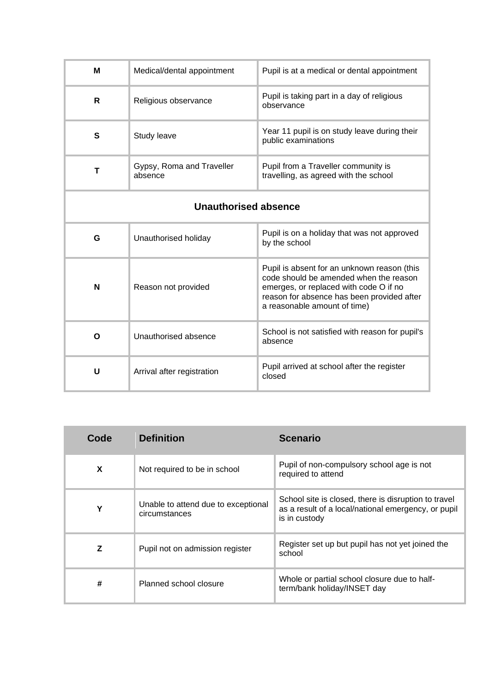| м                           | Medical/dental appointment           | Pupil is at a medical or dental appointment                                                                                                                                                                   |
|-----------------------------|--------------------------------------|---------------------------------------------------------------------------------------------------------------------------------------------------------------------------------------------------------------|
| R                           | Religious observance                 | Pupil is taking part in a day of religious<br>observance                                                                                                                                                      |
| S                           | Study leave                          | Year 11 pupil is on study leave during their<br>public examinations                                                                                                                                           |
| T                           | Gypsy, Roma and Traveller<br>absence | Pupil from a Traveller community is<br>travelling, as agreed with the school                                                                                                                                  |
| <b>Unauthorised absence</b> |                                      |                                                                                                                                                                                                               |
| G                           | Unauthorised holiday                 | Pupil is on a holiday that was not approved<br>by the school                                                                                                                                                  |
| N                           | Reason not provided                  | Pupil is absent for an unknown reason (this<br>code should be amended when the reason<br>emerges, or replaced with code O if no<br>reason for absence has been provided after<br>a reasonable amount of time) |
| O                           | Unauthorised absence                 | School is not satisfied with reason for pupil's<br>absence                                                                                                                                                    |
| U                           | Arrival after registration           | Pupil arrived at school after the register<br>closed                                                                                                                                                          |

| Code | <b>Definition</b>                                    | <b>Scenario</b>                                                                                                              |
|------|------------------------------------------------------|------------------------------------------------------------------------------------------------------------------------------|
| X    | Not required to be in school                         | Pupil of non-compulsory school age is not<br>required to attend                                                              |
| Υ    | Unable to attend due to exceptional<br>circumstances | School site is closed, there is disruption to travel<br>as a result of a local/national emergency, or pupil<br>is in custody |
| Z    | Pupil not on admission register                      | Register set up but pupil has not yet joined the<br>school                                                                   |
| #    | Planned school closure                               | Whole or partial school closure due to half-<br>term/bank holiday/INSET day                                                  |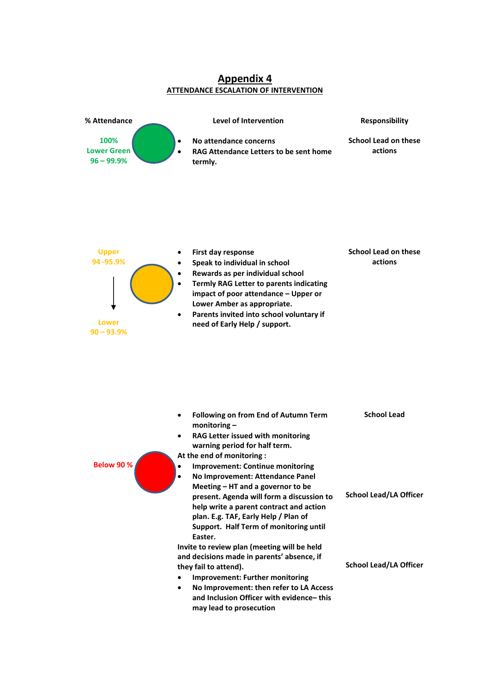